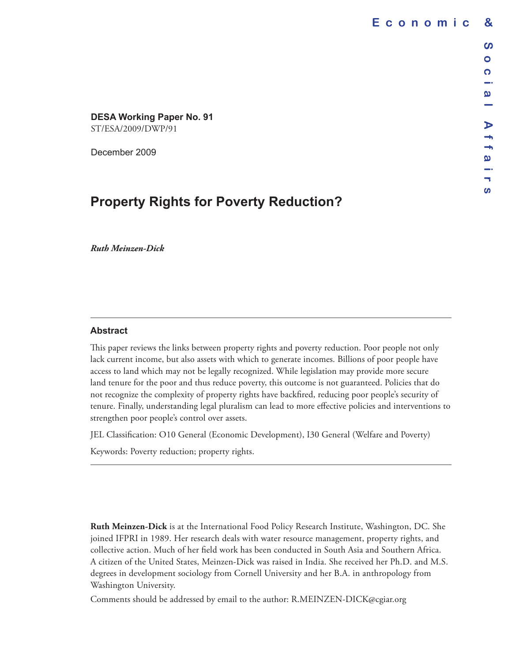**DESA Working Paper No. 91** ST/ESA/2009/DWP/91

December 2009

# **Property Rights for Poverty Reduction?**

*Ruth Meinzen-Dick*

#### **Abstract**

This paper reviews the links between property rights and poverty reduction. Poor people not only lack current income, but also assets with which to generate incomes. Billions of poor people have access to land which may not be legally recognized. While legislation may provide more secure land tenure for the poor and thus reduce poverty, this outcome is not guaranteed. Policies that do not recognize the complexity of property rights have backfired, reducing poor people's security of tenure. Finally, understanding legal pluralism can lead to more effective policies and interventions to strengthen poor people's control over assets.

JEL Classification: O10 General (Economic Development), I30 General (Welfare and Poverty) Keywords: Poverty reduction; property rights.

**Ruth Meinzen-Dick** is at the International Food Policy Research Institute, Washington, DC. She joined IFPRI in 1989. Her research deals with water resource management, property rights, and collective action. Much of her field work has been conducted in South Asia and Southern Africa. A citizen of the United States, Meinzen-Dick was raised in India. She received her Ph.D. and M.S. degrees in development sociology from Cornell University and her B.A. in anthropology from Washington University.

Comments should be addressed by email to the author: R.MEINZEN-DICK@cgiar.org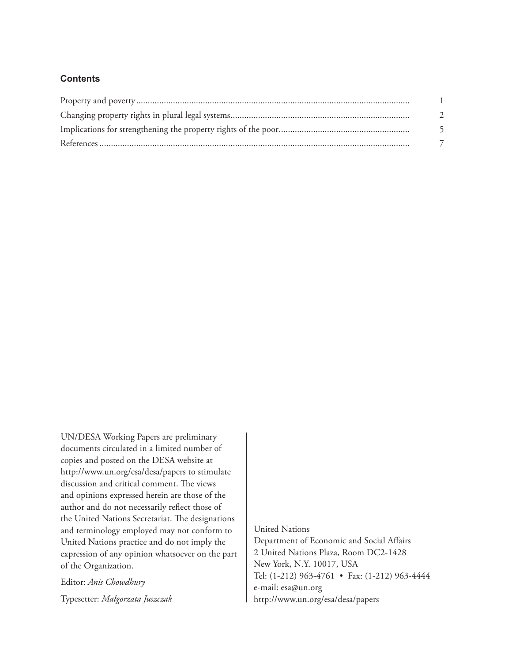## **Contents**

| $\partial$ |
|------------|
|            |
|            |

UN/DESA Working Papers are preliminary documents circulated in a limited number of copies and posted on the DESA website at <http://www.un.org/esa/desa/papers> to stimulate discussion and critical comment. The views and opinions expressed herein are those of the author and do not necessarily reflect those of the United Nations Secretariat. The designations and terminology employed may not conform to United Nations practice and do not imply the expression of any opinion whatsoever on the part of the Organization.

Editor: *Anis Chowdhury* Typesetter: *Małgorzata Juszczak* United Nations

Department of Economic and Social Affairs 2 United Nations Plaza, Room DC2-1428 New York, N.Y. 10017, USA Tel: (1-212) 963-4761 • Fax: (1-212) 963-4444 e-mail: esa@un.org <http://www.un.org/esa/desa/papers>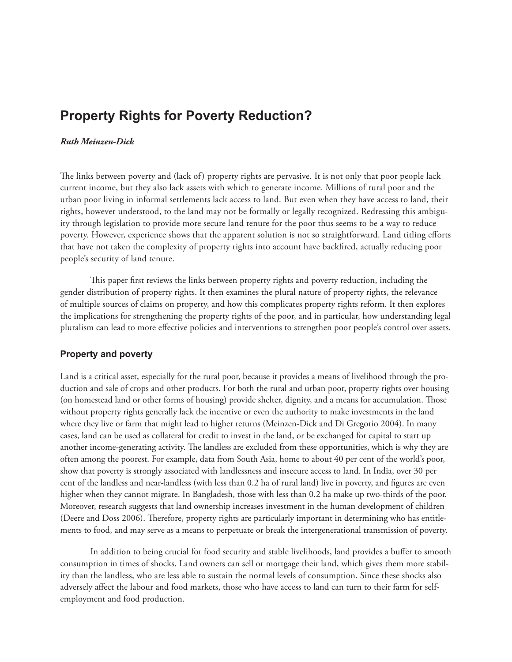# <span id="page-2-0"></span>**Property Rights for Poverty Reduction?**

#### *Ruth Meinzen-Dick*

The links between poverty and (lack of) property rights are pervasive. It is not only that poor people lack current income, but they also lack assets with which to generate income. Millions of rural poor and the urban poor living in informal settlements lack access to land. But even when they have access to land, their rights, however understood, to the land may not be formally or legally recognized. Redressing this ambiguity through legislation to provide more secure land tenure for the poor thus seems to be a way to reduce poverty. However, experience shows that the apparent solution is not so straightforward. Land titling efforts that have not taken the complexity of property rights into account have backfired, actually reducing poor people's security of land tenure.

This paper first reviews the links between property rights and poverty reduction, including the gender distribution of property rights. It then examines the plural nature of property rights, the relevance of multiple sources of claims on property, and how this complicates property rights reform. It then explores the implications for strengthening the property rights of the poor, and in particular, how understanding legal pluralism can lead to more effective policies and interventions to strengthen poor people's control over assets.

### **Property and poverty**

Land is a critical asset, especially for the rural poor, because it provides a means of livelihood through the production and sale of crops and other products. For both the rural and urban poor, property rights over housing (on homestead land or other forms of housing) provide shelter, dignity, and a means for accumulation. Those without property rights generally lack the incentive or even the authority to make investments in the land where they live or farm that might lead to higher returns (Meinzen-Dick and Di Gregorio 2004). In many cases, land can be used as collateral for credit to invest in the land, or be exchanged for capital to start up another income-generating activity. The landless are excluded from these opportunities, which is why they are often among the poorest. For example, data from South Asia, home to about 40 per cent of the world's poor, show that poverty is strongly associated with landlessness and insecure access to land. In India, over 30 per cent of the landless and near-landless (with less than 0.2 ha of rural land) live in poverty, and figures are even higher when they cannot migrate. In Bangladesh, those with less than 0.2 ha make up two-thirds of the poor. Moreover, research suggests that land ownership increases investment in the human development of children (Deere and Doss 2006). Therefore, property rights are particularly important in determining who has entitlements to food, and may serve as a means to perpetuate or break the intergenerational transmission of poverty.

In addition to being crucial for food security and stable livelihoods, land provides a buffer to smooth consumption in times of shocks. Land owners can sell or mortgage their land, which gives them more stability than the landless, who are less able to sustain the normal levels of consumption. Since these shocks also adversely affect the labour and food markets, those who have access to land can turn to their farm for selfemployment and food production.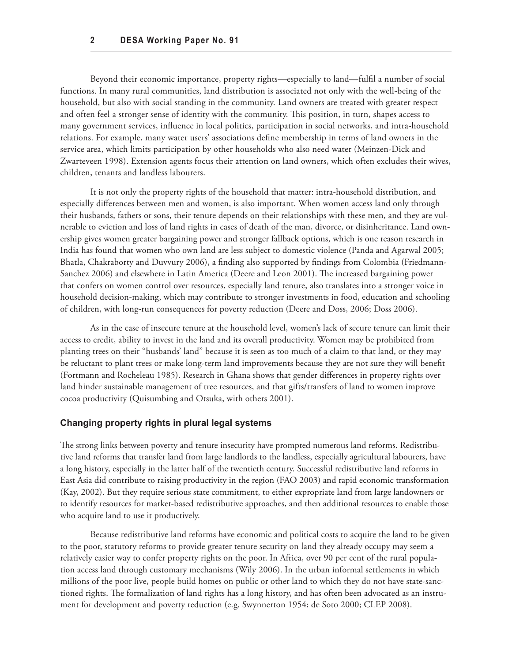<span id="page-3-0"></span>Beyond their economic importance, property rights—especially to land—fulfil a number of social functions. In many rural communities, land distribution is associated not only with the well-being of the household, but also with social standing in the community. Land owners are treated with greater respect and often feel a stronger sense of identity with the community. This position, in turn, shapes access to many government services, influence in local politics, participation in social networks, and intra-household relations. For example, many water users' associations define membership in terms of land owners in the service area, which limits participation by other households who also need water (Meinzen-Dick and Zwarteveen 1998). Extension agents focus their attention on land owners, which often excludes their wives, children, tenants and landless labourers.

It is not only the property rights of the household that matter: intra-household distribution, and especially differences between men and women, is also important. When women access land only through their husbands, fathers or sons, their tenure depends on their relationships with these men, and they are vulnerable to eviction and loss of land rights in cases of death of the man, divorce, or disinheritance. Land ownership gives women greater bargaining power and stronger fallback options, which is one reason research in India has found that women who own land are less subject to domestic violence (Panda and Agarwal 2005; Bhatla, Chakraborty and Duvvury 2006), a finding also supported by findings from Colombia (Friedmann-Sanchez 2006) and elsewhere in Latin America (Deere and Leon 2001). The increased bargaining power that confers on women control over resources, especially land tenure, also translates into a stronger voice in household decision-making, which may contribute to stronger investments in food, education and schooling of children, with long-run consequences for poverty reduction (Deere and Doss, 2006; Doss 2006).

As in the case of insecure tenure at the household level, women's lack of secure tenure can limit their access to credit, ability to invest in the land and its overall productivity. Women may be prohibited from planting trees on their "husbands' land" because it is seen as too much of a claim to that land, or they may be reluctant to plant trees or make long-term land improvements because they are not sure they will benefit (Fortmann and Rocheleau 1985). Research in Ghana shows that gender differences in property rights over land hinder sustainable management of tree resources, and that gifts/transfers of land to women improve cocoa productivity (Quisumbing and Otsuka, with others 2001).

### **Changing property rights in plural legal systems**

The strong links between poverty and tenure insecurity have prompted numerous land reforms. Redistributive land reforms that transfer land from large landlords to the landless, especially agricultural labourers, have a long history, especially in the latter half of the twentieth century. Successful redistributive land reforms in East Asia did contribute to raising productivity in the region (FAO 2003) and rapid economic transformation (Kay, 2002). But they require serious state commitment, to either expropriate land from large landowners or to identify resources for market-based redistributive approaches, and then additional resources to enable those who acquire land to use it productively.

Because redistributive land reforms have economic and political costs to acquire the land to be given to the poor, statutory reforms to provide greater tenure security on land they already occupy may seem a relatively easier way to confer property rights on the poor. In Africa, over 90 per cent of the rural population access land through customary mechanisms (Wily 2006). In the urban informal settlements in which millions of the poor live, people build homes on public or other land to which they do not have state-sanctioned rights. The formalization of land rights has a long history, and has often been advocated as an instrument for development and poverty reduction (e.g. Swynnerton 1954; de Soto 2000; CLEP 2008).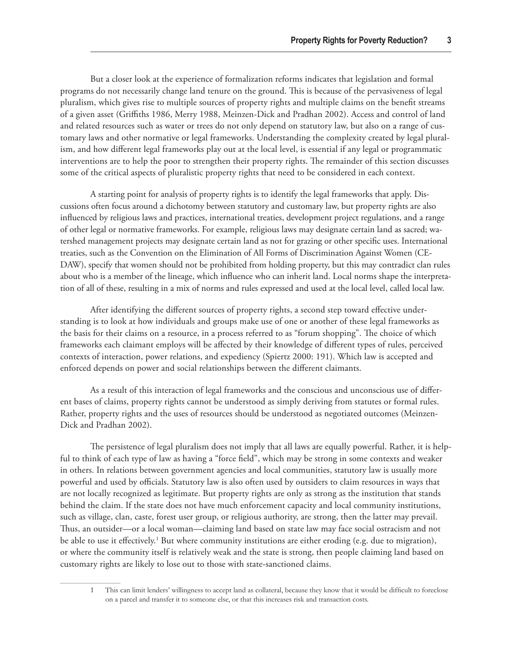But a closer look at the experience of formalization reforms indicates that legislation and formal programs do not necessarily change land tenure on the ground. This is because of the pervasiveness of legal pluralism, which gives rise to multiple sources of property rights and multiple claims on the benefit streams of a given asset (Griffiths 1986, Merry 1988, Meinzen-Dick and Pradhan 2002). Access and control of land and related resources such as water or trees do not only depend on statutory law, but also on a range of customary laws and other normative or legal frameworks. Understanding the complexity created by legal pluralism, and how different legal frameworks play out at the local level, is essential if any legal or programmatic interventions are to help the poor to strengthen their property rights. The remainder of this section discusses some of the critical aspects of pluralistic property rights that need to be considered in each context.

A starting point for analysis of property rights is to identify the legal frameworks that apply. Discussions often focus around a dichotomy between statutory and customary law, but property rights are also influenced by religious laws and practices, international treaties, development project regulations, and a range of other legal or normative frameworks. For example, religious laws may designate certain land as sacred; watershed management projects may designate certain land as not for grazing or other specific uses. International treaties, such as the Convention on the Elimination of All Forms of Discrimination Against Women (CE-DAW), specify that women should not be prohibited from holding property, but this may contradict clan rules about who is a member of the lineage, which influence who can inherit land. Local norms shape the interpretation of all of these, resulting in a mix of norms and rules expressed and used at the local level, called local law.

After identifying the different sources of property rights, a second step toward effective understanding is to look at how individuals and groups make use of one or another of these legal frameworks as the basis for their claims on a resource, in a process referred to as "forum shopping". The choice of which frameworks each claimant employs will be affected by their knowledge of different types of rules, perceived contexts of interaction, power relations, and expediency (Spiertz 2000: 191). Which law is accepted and enforced depends on power and social relationships between the different claimants.

As a result of this interaction of legal frameworks and the conscious and unconscious use of different bases of claims, property rights cannot be understood as simply deriving from statutes or formal rules. Rather, property rights and the uses of resources should be understood as negotiated outcomes (Meinzen-Dick and Pradhan 2002).

The persistence of legal pluralism does not imply that all laws are equally powerful. Rather, it is helpful to think of each type of law as having a "force field", which may be strong in some contexts and weaker in others. In relations between government agencies and local communities, statutory law is usually more powerful and used by officials. Statutory law is also often used by outsiders to claim resources in ways that are not locally recognized as legitimate. But property rights are only as strong as the institution that stands behind the claim. If the state does not have much enforcement capacity and local community institutions, such as village, clan, caste, forest user group, or religious authority, are strong, then the latter may prevail. Thus, an outsider—or a local woman—claiming land based on state law may face social ostracism and not be able to use it effectively.<sup>1</sup> But where community institutions are either eroding (e.g. due to migration), or where the community itself is relatively weak and the state is strong, then people claiming land based on customary rights are likely to lose out to those with state-sanctioned claims.

<sup>1</sup> This can limit lenders' willingness to accept land as collateral, because they know that it would be difficult to foreclose on a parcel and transfer it to someone else, or that this increases risk and transaction costs.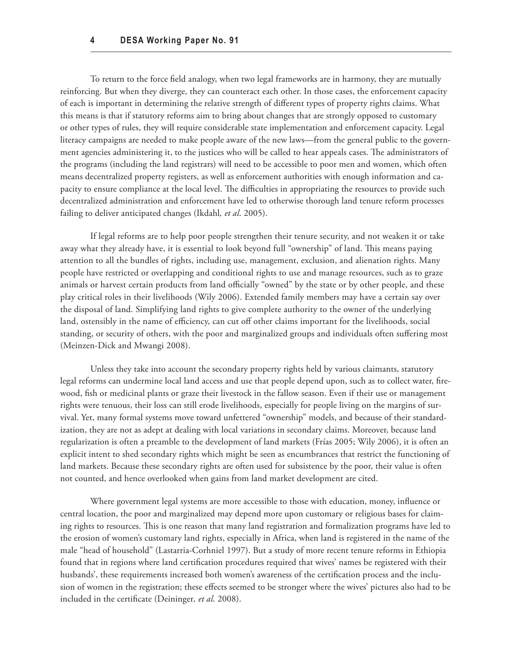To return to the force field analogy, when two legal frameworks are in harmony, they are mutually reinforcing. But when they diverge, they can counteract each other. In those cases, the enforcement capacity of each is important in determining the relative strength of different types of property rights claims. What this means is that if statutory reforms aim to bring about changes that are strongly opposed to customary or other types of rules, they will require considerable state implementation and enforcement capacity. Legal literacy campaigns are needed to make people aware of the new laws—from the general public to the government agencies administering it, to the justices who will be called to hear appeals cases. The administrators of the programs (including the land registrars) will need to be accessible to poor men and women, which often means decentralized property registers, as well as enforcement authorities with enough information and capacity to ensure compliance at the local level. The difficulties in appropriating the resources to provide such decentralized administration and enforcement have led to otherwise thorough land tenure reform processes failing to deliver anticipated changes (Ikdahl*, et al*. 2005).

If legal reforms are to help poor people strengthen their tenure security, and not weaken it or take away what they already have, it is essential to look beyond full "ownership" of land. This means paying attention to all the bundles of rights, including use, management, exclusion, and alienation rights. Many people have restricted or overlapping and conditional rights to use and manage resources, such as to graze animals or harvest certain products from land officially "owned" by the state or by other people, and these play critical roles in their livelihoods (Wily 2006). Extended family members may have a certain say over the disposal of land. Simplifying land rights to give complete authority to the owner of the underlying land, ostensibly in the name of efficiency, can cut off other claims important for the livelihoods, social standing, or security of others, with the poor and marginalized groups and individuals often suffering most (Meinzen-Dick and Mwangi 2008).

Unless they take into account the secondary property rights held by various claimants, statutory legal reforms can undermine local land access and use that people depend upon, such as to collect water, firewood, fish or medicinal plants or graze their livestock in the fallow season. Even if their use or management rights were tenuous, their loss can still erode livelihoods, especially for people living on the margins of survival. Yet, many formal systems move toward unfettered "ownership" models, and because of their standardization, they are not as adept at dealing with local variations in secondary claims. Moreover, because land regularization is often a preamble to the development of land markets (Frías 2005; Wily 2006), it is often an explicit intent to shed secondary rights which might be seen as encumbrances that restrict the functioning of land markets. Because these secondary rights are often used for subsistence by the poor, their value is often not counted, and hence overlooked when gains from land market development are cited.

Where government legal systems are more accessible to those with education, money, influence or central location, the poor and marginalized may depend more upon customary or religious bases for claiming rights to resources. This is one reason that many land registration and formalization programs have led to the erosion of women's customary land rights, especially in Africa, when land is registered in the name of the male "head of household" (Lastarria-Corhniel 1997). But a study of more recent tenure reforms in Ethiopia found that in regions where land certification procedures required that wives' names be registered with their husbands', these requirements increased both women's awareness of the certification process and the inclusion of women in the registration; these effects seemed to be stronger where the wives' pictures also had to be included in the certificate (Deininger*, et al*. 2008).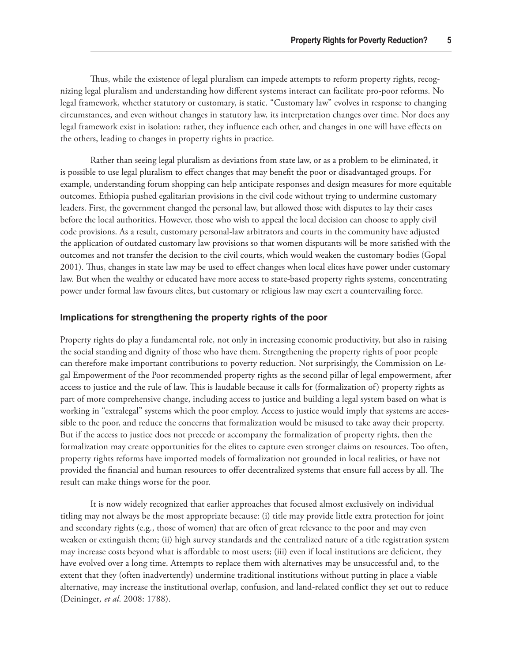<span id="page-6-0"></span>Thus, while the existence of legal pluralism can impede attempts to reform property rights, recognizing legal pluralism and understanding how different systems interact can facilitate pro-poor reforms. No legal framework, whether statutory or customary, is static. "Customary law" evolves in response to changing circumstances, and even without changes in statutory law, its interpretation changes over time. Nor does any legal framework exist in isolation: rather, they influence each other, and changes in one will have effects on the others, leading to changes in property rights in practice.

Rather than seeing legal pluralism as deviations from state law, or as a problem to be eliminated, it is possible to use legal pluralism to effect changes that may benefit the poor or disadvantaged groups. For example, understanding forum shopping can help anticipate responses and design measures for more equitable outcomes. Ethiopia pushed egalitarian provisions in the civil code without trying to undermine customary leaders. First, the government changed the personal law, but allowed those with disputes to lay their cases before the local authorities. However, those who wish to appeal the local decision can choose to apply civil code provisions. As a result, customary personal-law arbitrators and courts in the community have adjusted the application of outdated customary law provisions so that women disputants will be more satisfied with the outcomes and not transfer the decision to the civil courts, which would weaken the customary bodies (Gopal 2001). Thus, changes in state law may be used to effect changes when local elites have power under customary law. But when the wealthy or educated have more access to state-based property rights systems, concentrating power under formal law favours elites, but customary or religious law may exert a countervailing force.

#### **Implications for strengthening the property rights of the poor**

Property rights do play a fundamental role, not only in increasing economic productivity, but also in raising the social standing and dignity of those who have them. Strengthening the property rights of poor people can therefore make important contributions to poverty reduction. Not surprisingly, the Commission on Legal Empowerment of the Poor recommended property rights as the second pillar of legal empowerment, after access to justice and the rule of law. This is laudable because it calls for (formalization of) property rights as part of more comprehensive change, including access to justice and building a legal system based on what is working in "extralegal" systems which the poor employ. Access to justice would imply that systems are accessible to the poor, and reduce the concerns that formalization would be misused to take away their property. But if the access to justice does not precede or accompany the formalization of property rights, then the formalization may create opportunities for the elites to capture even stronger claims on resources. Too often, property rights reforms have imported models of formalization not grounded in local realities, or have not provided the financial and human resources to offer decentralized systems that ensure full access by all. The result can make things worse for the poor.

It is now widely recognized that earlier approaches that focused almost exclusively on individual titling may not always be the most appropriate because: (i) title may provide little extra protection for joint and secondary rights (e.g., those of women) that are often of great relevance to the poor and may even weaken or extinguish them; (ii) high survey standards and the centralized nature of a title registration system may increase costs beyond what is affordable to most users; (iii) even if local institutions are deficient, they have evolved over a long time. Attempts to replace them with alternatives may be unsuccessful and, to the extent that they (often inadvertently) undermine traditional institutions without putting in place a viable alternative, may increase the institutional overlap, confusion, and land-related conflict they set out to reduce (Deininger*, et al*. 2008: 1788).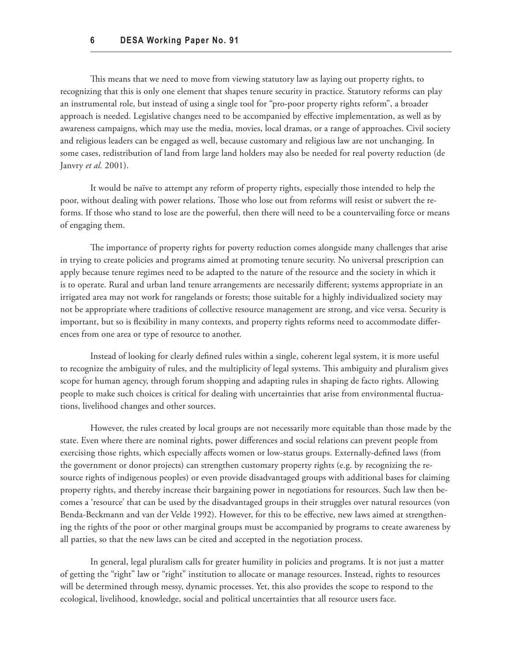This means that we need to move from viewing statutory law as laying out property rights, to recognizing that this is only one element that shapes tenure security in practice. Statutory reforms can play an instrumental role, but instead of using a single tool for "pro-poor property rights reform", a broader approach is needed. Legislative changes need to be accompanied by effective implementation, as well as by awareness campaigns, which may use the media, movies, local dramas, or a range of approaches. Civil society and religious leaders can be engaged as well, because customary and religious law are not unchanging. In some cases, redistribution of land from large land holders may also be needed for real poverty reduction (de Janvry *et al.* 2001).

It would be naïve to attempt any reform of property rights, especially those intended to help the poor, without dealing with power relations. Those who lose out from reforms will resist or subvert the reforms. If those who stand to lose are the powerful, then there will need to be a countervailing force or means of engaging them.

The importance of property rights for poverty reduction comes alongside many challenges that arise in trying to create policies and programs aimed at promoting tenure security. No universal prescription can apply because tenure regimes need to be adapted to the nature of the resource and the society in which it is to operate. Rural and urban land tenure arrangements are necessarily different; systems appropriate in an irrigated area may not work for rangelands or forests; those suitable for a highly individualized society may not be appropriate where traditions of collective resource management are strong, and vice versa. Security is important, but so is flexibility in many contexts, and property rights reforms need to accommodate differences from one area or type of resource to another.

Instead of looking for clearly defined rules within a single, coherent legal system, it is more useful to recognize the ambiguity of rules, and the multiplicity of legal systems. This ambiguity and pluralism gives scope for human agency, through forum shopping and adapting rules in shaping de facto rights. Allowing people to make such choices is critical for dealing with uncertainties that arise from environmental fluctuations, livelihood changes and other sources.

However, the rules created by local groups are not necessarily more equitable than those made by the state. Even where there are nominal rights, power differences and social relations can prevent people from exercising those rights, which especially affects women or low-status groups. Externally-defined laws (from the government or donor projects) can strengthen customary property rights (e.g. by recognizing the resource rights of indigenous peoples) or even provide disadvantaged groups with additional bases for claiming property rights, and thereby increase their bargaining power in negotiations for resources. Such law then becomes a 'resource' that can be used by the disadvantaged groups in their struggles over natural resources (von Benda-Beckmann and van der Velde 1992). However, for this to be effective, new laws aimed at strengthening the rights of the poor or other marginal groups must be accompanied by programs to create awareness by all parties, so that the new laws can be cited and accepted in the negotiation process.

In general, legal pluralism calls for greater humility in policies and programs. It is not just a matter of getting the "right" law or "right" institution to allocate or manage resources. Instead, rights to resources will be determined through messy, dynamic processes. Yet, this also provides the scope to respond to the ecological, livelihood, knowledge, social and political uncertainties that all resource users face.